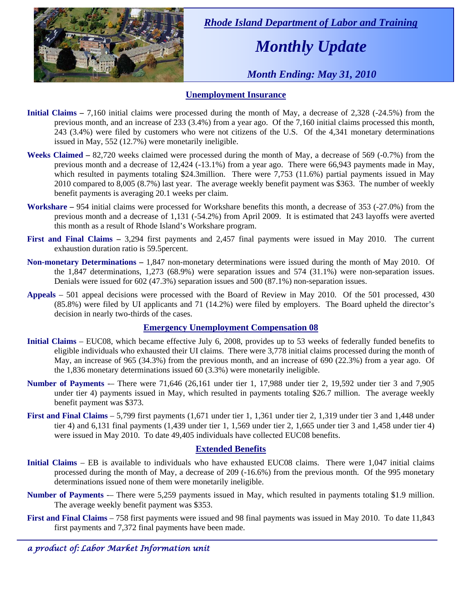

 *Rhode Island Department of Labor and Training* 

# *Monthly Update*

 *Month Ending: May 31, 2010* 

### **Unemployment Insurance**

- **Initial Claims** 7,160 initial claims were processed during the month of May, a decrease of 2,328 (-24.5%) from the previous month, and an increase of 233 (3.4%) from a year ago. Of the 7,160 initial claims processed this month, 243 (3.4%) were filed by customers who were not citizens of the U.S. Of the 4,341 monetary determinations issued in May, 552 (12.7%) were monetarily ineligible.
- **Weeks Claimed** 82,720 weeks claimed were processed during the month of May, a decrease of 569 (-0.7%) from the previous month and a decrease of 12,424 (-13.1%) from a year ago. There were 66,943 payments made in May, which resulted in payments totaling \$24.3million. There were 7,753 (11.6%) partial payments issued in May 2010 compared to 8,005 (8.7%) last year. The average weekly benefit payment was \$363. The number of weekly benefit payments is averaging 20.1 weeks per claim.
- **Workshare –** 954 initial claims were processed for Workshare benefits this month, a decrease of 353 (-27.0%) from the previous month and a decrease of 1,131 (-54.2%) from April 2009. It is estimated that 243 layoffs were averted this month as a result of Rhode Island's Workshare program.
- **First and Final Claims –** 3,294 first payments and 2,457 final payments were issued in May 2010. The current exhaustion duration ratio is 59.5percent.
- **Non-monetary Determinations –** 1,847 non-monetary determinations were issued during the month of May 2010. Of the 1,847 determinations, 1,273 (68.9%) were separation issues and 574 (31.1%) were non-separation issues. Denials were issued for 602 (47.3%) separation issues and 500 (87.1%) non-separation issues.
- **Appeals** 501 appeal decisions were processed with the Board of Review in May 2010. Of the 501 processed, 430 (85.8%) were filed by UI applicants and 71 (14.2%) were filed by employers. The Board upheld the director's decision in nearly two-thirds of the cases.

#### **Emergency Unemployment Compensation 08**

- **Initial Claims**  EUC08, which became effective July 6, 2008, provides up to 53 weeks of federally funded benefits to eligible individuals who exhausted their UI claims. There were 3,778 initial claims processed during the month of May, an increase of 965 (34.3%) from the previous month, and an increase of 690 (22.3%) from a year ago. Of the 1,836 monetary determinations issued  $60$  (3.3%) were monetarily ineligible.
- **Number of Payments** -– There were 71,646 (26,161 under tier 1, 17,988 under tier 2, 19,592 under tier 3 and 7,905 under tier 4) payments issued in May, which resulted in payments totaling \$26.7 million. The average weekly benefit payment was \$373.
- **First and Final Claims**  5,799 first payments (1,671 under tier 1, 1,361 under tier 2, 1,319 under tier 3 and 1,448 under tier 4) and 6,131 final payments (1,439 under tier 1, 1,569 under tier 2, 1,665 under tier 3 and 1,458 under tier 4) were issued in May 2010. To date 49,405 individuals have collected EUC08 benefits.

#### **Extended Benefits**

- **Initial Claims**  EB is available to individuals who have exhausted EUC08 claims. There were 1,047 initial claims processed during the month of May, a decrease of 209 (-16.6%) from the previous month. Of the 995 monetary determinations issued none of them were monetarily ineligible.
- **Number of Payments** There were 5,259 payments issued in May, which resulted in payments totaling \$1.9 million. The average weekly benefit payment was \$353.
- **First and Final Claims**  758 first payments were issued and 98 final payments was issued in May 2010. To date 11,843 first payments and 7,372 final payments have been made.